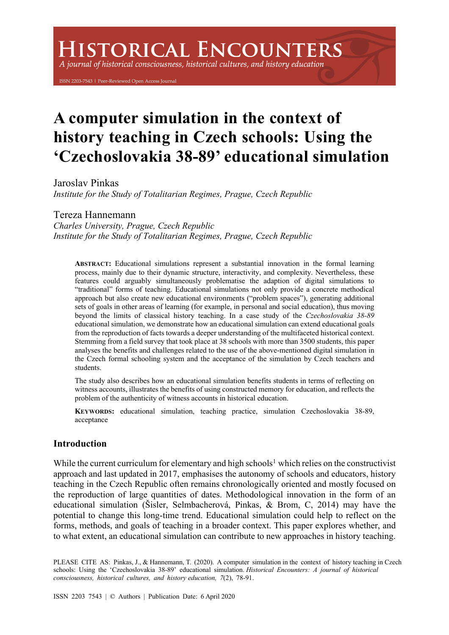# **ISTORICAL ENCOUNTERS**

A journal of historical consciousness, historical cultures, and history education

ISSN 2203-7543 | Peer-Reviewed Open Access Journal

# **A computer simulation in the context of history teaching in Czech schools: Using the 'Czechoslovakia 38-89' educational simulation**

Jaroslav Pinkas

*Institute for the Study of Totalitarian Regimes, Prague, Czech Republic*

# Tereza Hannemann

*Charles University, Prague, Czech Republic Institute for the Study of Totalitarian Regimes, Prague, Czech Republic*

**ABSTRACT:** Educational simulations represent a substantial innovation in the formal learning process, mainly due to their dynamic structure, interactivity, and complexity. Nevertheless, these features could arguably simultaneously problematise the adaption of digital simulations to "traditional" forms of teaching. Educational simulations not only provide a concrete methodical approach but also create new educational environments ("problem spaces"), generating additional sets of goals in other areas of learning (for example, in personal and social education), thus moving beyond the limits of classical history teaching. In a case study of the *Czechoslovakia 38-89* educational simulation, we demonstrate how an educational simulation can extend educational goals from the reproduction of facts towards a deeper understanding of the multifaceted historical context. Stemming from a field survey that took place at 38 schools with more than 3500 students, this paper analyses the benefits and challenges related to the use of the above-mentioned digital simulation in the Czech formal schooling system and the acceptance of the simulation by Czech teachers and students.

The study also describes how an educational simulation benefits students in terms of reflecting on witness accounts, illustrates the benefits of using constructed memory for education, and reflects the problem of the authenticity of witness accounts in historical education.

**KEYWORDS:** educational simulation, teaching practice, simulation Czechoslovakia 38-89, acceptance

# **Introduction**

While the current curriculum for elementary and high schools<sup>1</sup> which relies on the constructivist approach and last updated in 2017, emphasises the autonomy of schools and educators, history teaching in the Czech Republic often remains chronologically oriented and mostly focused on the reproduction of large quantities of dates. Methodological innovation in the form of an educational simulation (Šisler, Selmbacherová, Pinkas, & Brom, C, 2014) may have the potential to change this long-time trend. Educational simulation could help to reflect on the forms, methods, and goals of teaching in a broader context. This paper explores whether, and to what extent, an educational simulation can contribute to new approaches in history teaching.

PLEASE CITE AS: Pinkas, J., & Hannemann, T. (2020). A computer simulation in the context of history teaching in Czech schools: Using the 'Czechoslovakia 38-89' educational simulation. *Historical Encounters: A journal of historical consciousness, historical cultures, and history education, 7*(2), 78-91.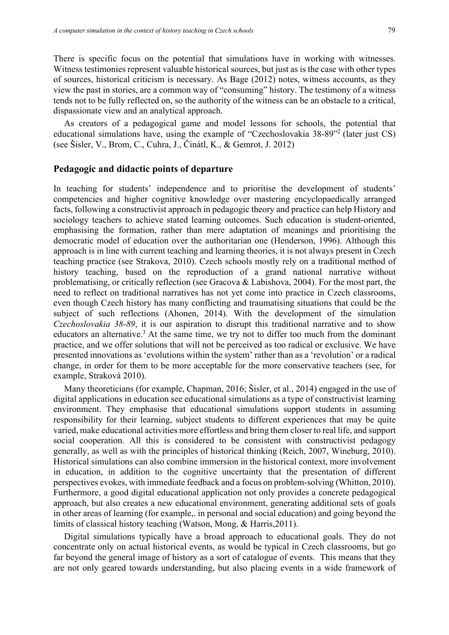There is specific focus on the potential that simulations have in working with witnesses. Witness testimonies represent valuable historical sources, but just as is the case with other types of sources, historical criticism is necessary. As Bage (2012) notes, witness accounts, as they view the past in stories, are a common way of "consuming" history. The testimony of a witness tends not to be fully reflected on, so the authority of the witness can be an obstacle to a critical, dispassionate view and an analytical approach.

As creators of a pedagogical game and model lessons for schools, the potential that educational simulations have, using the example of "Czechoslovakia 38-89"2 (later just CS) (see Šisler, V., Brom, C., Cuhra, J., Činátl, K., & Gemrot, J. 2012)

# **Pedagogic and didactic points of departure**

In teaching for students' independence and to prioritise the development of students' competencies and higher cognitive knowledge over mastering encyclopaedically arranged facts, following a constructivist approach in pedagogic theory and practice can help History and sociology teachers to achieve stated learning outcomes. Such education is student-oriented, emphasising the formation, rather than mere adaptation of meanings and prioritising the democratic model of education over the authoritarian one (Henderson, 1996). Although this approach is in line with current teaching and learning theories, it is not always present in Czech teaching practice (see Strakova, 2010). Czech schools mostly rely on a traditional method of history teaching, based on the reproduction of a grand national narrative without problematising, or critically reflection (see Gracova & Labishova, 2004). For the most part, the need to reflect on traditional narratives has not yet come into practice in Czech classrooms, even though Czech history has many conflicting and traumatising situations that could be the subject of such reflections (Ahonen, 2014). With the development of the simulation *Czechoslovakia 38-89*, it is our aspiration to disrupt this traditional narrative and to show educators an alternative.<sup>3</sup> At the same time, we try not to differ too much from the dominant practice, and we offer solutions that will not be perceived as too radical or exclusive. We have presented innovations as 'evolutions within the system' rather than as a 'revolution' or a radical change, in order for them to be more acceptable for the more conservative teachers (see, for example, Straková 2010).

Many theoreticians (for example, Chapman, 2016; Šisler, et al., 2014) engaged in the use of digital applications in education see educational simulations as a type of constructivist learning environment. They emphasise that educational simulations support students in assuming responsibility for their learning, subject students to different experiences that may be quite varied, make educational activities more effortless and bring them closer to real life, and support social cooperation. All this is considered to be consistent with constructivist pedagogy generally, as well as with the principles of historical thinking (Reich, 2007, Wineburg, 2010). Historical simulations can also combine immersion in the historical context, more involvement in education, in addition to the cognitive uncertainty that the presentation of different perspectives evokes, with immediate feedback and a focus on problem-solving (Whitton, 2010). Furthermore, a good digital educational application not only provides a concrete pedagogical approach, but also creates a new educational environment, generating additional sets of goals in other areas of learning (for example,. in personal and social education) and going beyond the limits of classical history teaching (Watson, Mong, & Harris,2011).

Digital simulations typically have a broad approach to educational goals. They do not concentrate only on actual historical events, as would be typical in Czech classrooms, but go far beyond the general image of history as a sort of catalogue of events. This means that they are not only geared towards understanding, but also placing events in a wide framework of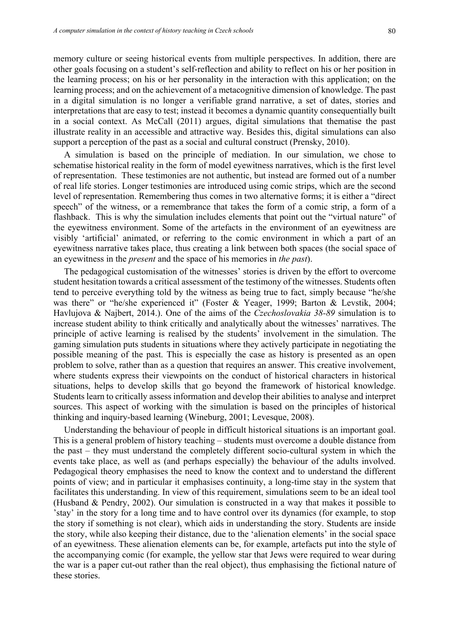memory culture or seeing historical events from multiple perspectives. In addition, there are other goals focusing on a student's self-reflection and ability to reflect on his or her position in the learning process; on his or her personality in the interaction with this application; on the learning process; and on the achievement of a metacognitive dimension of knowledge. The past in a digital simulation is no longer a verifiable grand narrative, a set of dates, stories and interpretations that are easy to test; instead it becomes a dynamic quantity consequentially built in a social context. As McCall (2011) argues, digital simulations that thematise the past illustrate reality in an accessible and attractive way. Besides this, digital simulations can also support a perception of the past as a social and cultural construct (Prensky, 2010).

A simulation is based on the principle of mediation. In our simulation, we chose to schematise historical reality in the form of model eyewitness narratives, which is the first level of representation. These testimonies are not authentic, but instead are formed out of a number of real life stories. Longer testimonies are introduced using comic strips, which are the second level of representation. Remembering thus comes in two alternative forms; it is either a "direct speech" of the witness, or a remembrance that takes the form of a comic strip, a form of a flashback. This is why the simulation includes elements that point out the "virtual nature" of the eyewitness environment. Some of the artefacts in the environment of an eyewitness are visibly 'artificial' animated, or referring to the comic environment in which a part of an eyewitness narrative takes place, thus creating a link between both spaces (the social space of an eyewitness in the *present* and the space of his memories in *the past*).

The pedagogical customisation of the witnesses' stories is driven by the effort to overcome student hesitation towards a critical assessment of the testimony of the witnesses. Students often tend to perceive everything told by the witness as being true to fact, simply because "he/she was there" or "he/she experienced it" (Foster & Yeager, 1999; Barton & Levstik, 2004; Havlujova & Najbert, 2014.). One of the aims of the *Czechoslovakia 38-89* simulation is to increase student ability to think critically and analytically about the witnesses' narratives. The principle of active learning is realised by the students' involvement in the simulation. The gaming simulation puts students in situations where they actively participate in negotiating the possible meaning of the past. This is especially the case as history is presented as an open problem to solve, rather than as a question that requires an answer. This creative involvement, where students express their viewpoints on the conduct of historical characters in historical situations, helps to develop skills that go beyond the framework of historical knowledge. Students learn to critically assess information and develop their abilities to analyse and interpret sources. This aspect of working with the simulation is based on the principles of historical thinking and inquiry-based learning (Wineburg, 2001; Levesque, 2008).

Understanding the behaviour of people in difficult historical situations is an important goal. This is a general problem of history teaching – students must overcome a double distance from the past – they must understand the completely different socio-cultural system in which the events take place, as well as (and perhaps especially) the behaviour of the adults involved. Pedagogical theory emphasises the need to know the context and to understand the different points of view; and in particular it emphasises continuity, a long-time stay in the system that facilitates this understanding. In view of this requirement, simulations seem to be an ideal tool (Husband & Pendry, 2002). Our simulation is constructed in a way that makes it possible to 'stay' in the story for a long time and to have control over its dynamics (for example, to stop the story if something is not clear), which aids in understanding the story. Students are inside the story, while also keeping their distance, due to the 'alienation elements' in the social space of an eyewitness. These alienation elements can be, for example, artefacts put into the style of the accompanying comic (for example, the yellow star that Jews were required to wear during the war is a paper cut-out rather than the real object), thus emphasising the fictional nature of these stories.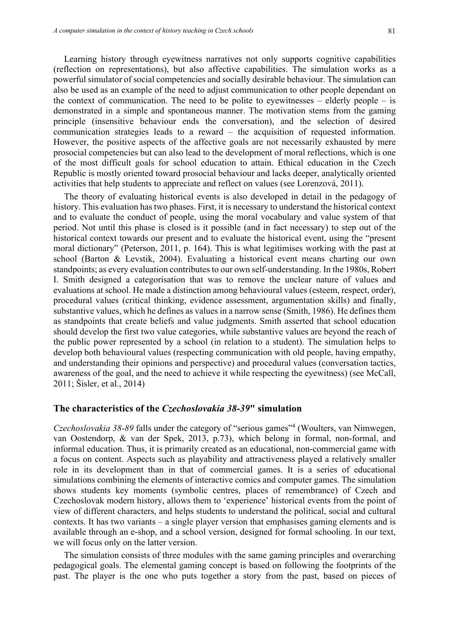Learning history through eyewitness narratives not only supports cognitive capabilities (reflection on representations), but also affective capabilities. The simulation works as a powerful simulator of social competencies and socially desirable behaviour. The simulation can also be used as an example of the need to adjust communication to other people dependant on the context of communication. The need to be polite to eyewitnesses – elderly people – is demonstrated in a simple and spontaneous manner. The motivation stems from the gaming principle (insensitive behaviour ends the conversation), and the selection of desired communication strategies leads to a reward – the acquisition of requested information. However, the positive aspects of the affective goals are not necessarily exhausted by mere prosocial competencies but can also lead to the development of moral reflections, which is one of the most difficult goals for school education to attain. Ethical education in the Czech Republic is mostly oriented toward prosocial behaviour and lacks deeper, analytically oriented activities that help students to appreciate and reflect on values (see Lorenzová, 2011).

The theory of evaluating historical events is also developed in detail in the pedagogy of history. This evaluation has two phases. First, it is necessary to understand the historical context and to evaluate the conduct of people, using the moral vocabulary and value system of that period. Not until this phase is closed is it possible (and in fact necessary) to step out of the historical context towards our present and to evaluate the historical event, using the "present moral dictionary" (Peterson, 2011, p. 164). This is what legitimises working with the past at school (Barton & Levstik, 2004). Evaluating a historical event means charting our own standpoints; as every evaluation contributes to our own self-understanding. In the 1980s, Robert I. Smith designed a categorisation that was to remove the unclear nature of values and evaluations at school. He made a distinction among behavioural values (esteem, respect, order), procedural values (critical thinking, evidence assessment, argumentation skills) and finally, substantive values, which he defines as values in a narrow sense (Smith, 1986). He defines them as standpoints that create beliefs and value judgments. Smith asserted that school education should develop the first two value categories, while substantive values are beyond the reach of the public power represented by a school (in relation to a student). The simulation helps to develop both behavioural values (respecting communication with old people, having empathy, and understanding their opinions and perspective) and procedural values (conversation tactics, awareness of the goal, and the need to achieve it while respecting the eyewitness) (see McCall, 2011; Šisler, et al., 2014)

# **The characteristics of the** *Czechoslovakia 38-39***" simulation**

*Czechoslovakia 38-89* falls under the category of "serious games"4 (Woulters, van Nimwegen, van Oostendorp, & van der Spek, 2013, p.73), which belong in formal, non-formal, and informal education. Thus, it is primarily created as an educational, non-commercial game with a focus on content. Aspects such as playability and attractiveness played a relatively smaller role in its development than in that of commercial games. It is a series of educational simulations combining the elements of interactive comics and computer games. The simulation shows students key moments (symbolic centres, places of remembrance) of Czech and Czechoslovak modern history, allows them to 'experience' historical events from the point of view of different characters, and helps students to understand the political, social and cultural contexts. It has two variants – a single player version that emphasises gaming elements and is available through an e-shop, and a school version, designed for formal schooling. In our text, we will focus only on the latter version.

The simulation consists of three modules with the same gaming principles and overarching pedagogical goals. The elemental gaming concept is based on following the footprints of the past. The player is the one who puts together a story from the past, based on pieces of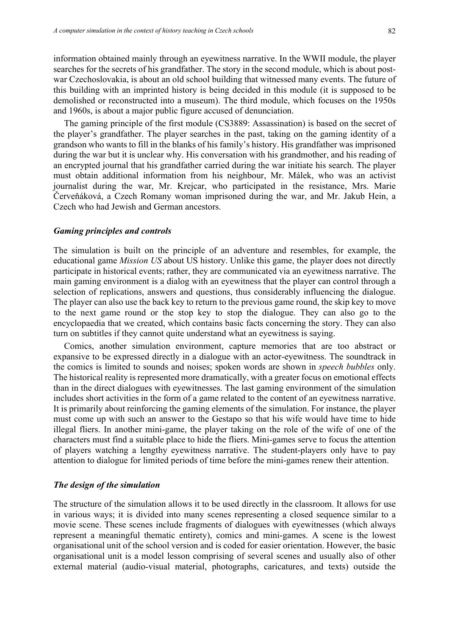information obtained mainly through an eyewitness narrative. In the WWII module, the player searches for the secrets of his grandfather. The story in the second module, which is about postwar Czechoslovakia, is about an old school building that witnessed many events. The future of this building with an imprinted history is being decided in this module (it is supposed to be demolished or reconstructed into a museum). The third module, which focuses on the 1950s and 1960s, is about a major public figure accused of denunciation.

The gaming principle of the first module (CS3889: Assassination) is based on the secret of the player's grandfather. The player searches in the past, taking on the gaming identity of a grandson who wants to fill in the blanks of his family's history. His grandfather was imprisoned during the war but it is unclear why. His conversation with his grandmother, and his reading of an encrypted journal that his grandfather carried during the war initiate his search. The player must obtain additional information from his neighbour, Mr. Málek, who was an activist journalist during the war, Mr. Krejcar, who participated in the resistance, Mrs. Marie Červeňáková, a Czech Romany woman imprisoned during the war, and Mr. Jakub Hein, a Czech who had Jewish and German ancestors.

#### *Gaming principles and controls*

The simulation is built on the principle of an adventure and resembles, for example, the educational game *Mission US* about US history. Unlike this game, the player does not directly participate in historical events; rather, they are communicated via an eyewitness narrative. The main gaming environment is a dialog with an eyewitness that the player can control through a selection of replications, answers and questions, thus considerably influencing the dialogue. The player can also use the back key to return to the previous game round, the skip key to move to the next game round or the stop key to stop the dialogue. They can also go to the encyclopaedia that we created, which contains basic facts concerning the story. They can also turn on subtitles if they cannot quite understand what an eyewitness is saying.

Comics, another simulation environment, capture memories that are too abstract or expansive to be expressed directly in a dialogue with an actor-eyewitness. The soundtrack in the comics is limited to sounds and noises; spoken words are shown in *speech bubbles* only. The historical reality is represented more dramatically, with a greater focus on emotional effects than in the direct dialogues with eyewitnesses. The last gaming environment of the simulation includes short activities in the form of a game related to the content of an eyewitness narrative. It is primarily about reinforcing the gaming elements of the simulation. For instance, the player must come up with such an answer to the Gestapo so that his wife would have time to hide illegal fliers. In another mini-game, the player taking on the role of the wife of one of the characters must find a suitable place to hide the fliers. Mini-games serve to focus the attention of players watching a lengthy eyewitness narrative. The student-players only have to pay attention to dialogue for limited periods of time before the mini-games renew their attention.

#### *The design of the simulation*

The structure of the simulation allows it to be used directly in the classroom. It allows for use in various ways; it is divided into many scenes representing a closed sequence similar to a movie scene. These scenes include fragments of dialogues with eyewitnesses (which always represent a meaningful thematic entirety), comics and mini-games. A scene is the lowest organisational unit of the school version and is coded for easier orientation. However, the basic organisational unit is a model lesson comprising of several scenes and usually also of other external material (audio-visual material, photographs, caricatures, and texts) outside the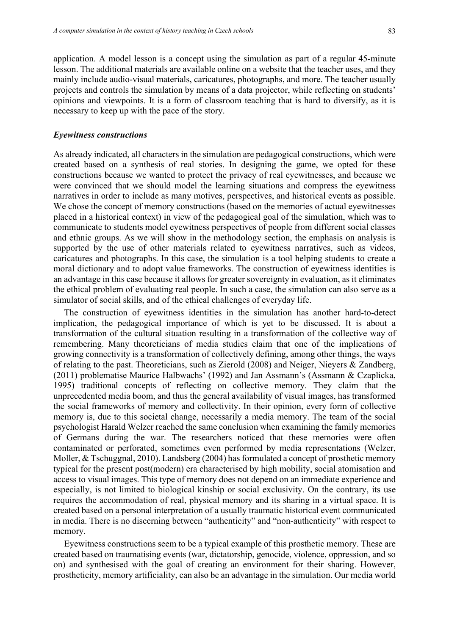application. A model lesson is a concept using the simulation as part of a regular 45-minute lesson. The additional materials are available online on a website that the teacher uses, and they mainly include audio-visual materials, caricatures, photographs, and more. The teacher usually projects and controls the simulation by means of a data projector, while reflecting on students' opinions and viewpoints. It is a form of classroom teaching that is hard to diversify, as it is necessary to keep up with the pace of the story.

#### *Eyewitness constructions*

As already indicated, all characters in the simulation are pedagogical constructions, which were created based on a synthesis of real stories. In designing the game, we opted for these constructions because we wanted to protect the privacy of real eyewitnesses, and because we were convinced that we should model the learning situations and compress the eyewitness narratives in order to include as many motives, perspectives, and historical events as possible. We chose the concept of memory constructions (based on the memories of actual eyewitnesses placed in a historical context) in view of the pedagogical goal of the simulation, which was to communicate to students model eyewitness perspectives of people from different social classes and ethnic groups. As we will show in the methodology section, the emphasis on analysis is supported by the use of other materials related to eyewitness narratives, such as videos, caricatures and photographs. In this case, the simulation is a tool helping students to create a moral dictionary and to adopt value frameworks. The construction of eyewitness identities is an advantage in this case because it allows for greater sovereignty in evaluation, as it eliminates the ethical problem of evaluating real people. In such a case, the simulation can also serve as a simulator of social skills, and of the ethical challenges of everyday life.

The construction of eyewitness identities in the simulation has another hard-to-detect implication, the pedagogical importance of which is yet to be discussed. It is about a transformation of the cultural situation resulting in a transformation of the collective way of remembering. Many theoreticians of media studies claim that one of the implications of growing connectivity is a transformation of collectively defining, among other things, the ways of relating to the past. Theoreticians, such as Zierold (2008) and Neiger, Nieyers & Zandberg, (2011) problematise Maurice Halbwachs' (1992) and Jan Assmann's (Assmann & Czaplicka, 1995) traditional concepts of reflecting on collective memory. They claim that the unprecedented media boom, and thus the general availability of visual images, has transformed the social frameworks of memory and collectivity. In their opinion, every form of collective memory is, due to this societal change, necessarily a media memory. The team of the social psychologist Harald Welzer reached the same conclusion when examining the family memories of Germans during the war. The researchers noticed that these memories were often contaminated or perforated, sometimes even performed by media representations (Welzer, Moller, & Tschuggnal, 2010). Landsberg (2004) has formulated a concept of prosthetic memory typical for the present post(modern) era characterised by high mobility, social atomisation and access to visual images. This type of memory does not depend on an immediate experience and especially, is not limited to biological kinship or social exclusivity. On the contrary, its use requires the accommodation of real, physical memory and its sharing in a virtual space. It is created based on a personal interpretation of a usually traumatic historical event communicated in media. There is no discerning between "authenticity" and "non-authenticity" with respect to memory.

Eyewitness constructions seem to be a typical example of this prosthetic memory. These are created based on traumatising events (war, dictatorship, genocide, violence, oppression, and so on) and synthesised with the goal of creating an environment for their sharing. However, prostheticity, memory artificiality, can also be an advantage in the simulation. Our media world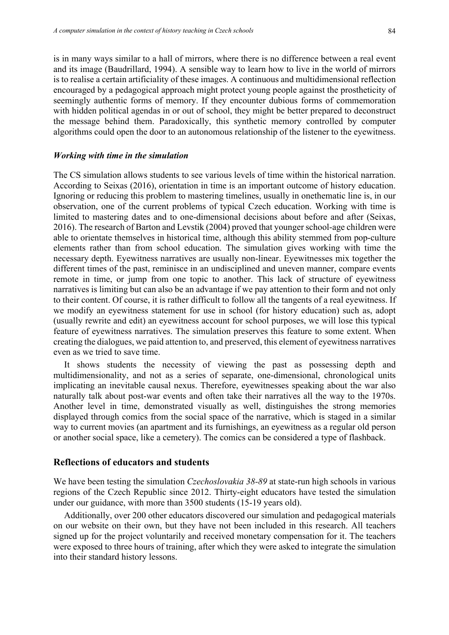is in many ways similar to a hall of mirrors, where there is no difference between a real event and its image (Baudrillard, 1994). A sensible way to learn how to live in the world of mirrors is to realise a certain artificiality of these images. A continuous and multidimensional reflection encouraged by a pedagogical approach might protect young people against the prostheticity of seemingly authentic forms of memory. If they encounter dubious forms of commemoration with hidden political agendas in or out of school, they might be better prepared to deconstruct the message behind them. Paradoxically, this synthetic memory controlled by computer algorithms could open the door to an autonomous relationship of the listener to the eyewitness.

#### *Working with time in the simulation*

The CS simulation allows students to see various levels of time within the historical narration. According to Seixas (2016), orientation in time is an important outcome of history education. Ignoring or reducing this problem to mastering timelines, usually in onethematic line is, in our observation, one of the current problems of typical Czech education. Working with time is limited to mastering dates and to one-dimensional decisions about before and after (Seixas, 2016). The research of Barton and Levstik (2004) proved that younger school-age children were able to orientate themselves in historical time, although this ability stemmed from pop-culture elements rather than from school education. The simulation gives working with time the necessary depth. Eyewitness narratives are usually non-linear. Eyewitnesses mix together the different times of the past, reminisce in an undisciplined and uneven manner, compare events remote in time, or jump from one topic to another. This lack of structure of eyewitness narratives is limiting but can also be an advantage if we pay attention to their form and not only to their content. Of course, it is rather difficult to follow all the tangents of a real eyewitness. If we modify an eyewitness statement for use in school (for history education) such as, adopt (usually rewrite and edit) an eyewitness account for school purposes, we will lose this typical feature of eyewitness narratives. The simulation preserves this feature to some extent. When creating the dialogues, we paid attention to, and preserved, this element of eyewitness narratives even as we tried to save time.

It shows students the necessity of viewing the past as possessing depth and multidimensionality, and not as a series of separate, one-dimensional, chronological units implicating an inevitable causal nexus. Therefore, eyewitnesses speaking about the war also naturally talk about post-war events and often take their narratives all the way to the 1970s. Another level in time, demonstrated visually as well, distinguishes the strong memories displayed through comics from the social space of the narrative, which is staged in a similar way to current movies (an apartment and its furnishings, an eyewitness as a regular old person or another social space, like a cemetery). The comics can be considered a type of flashback.

# **Reflections of educators and students**

We have been testing the simulation *Czechoslovakia 38-89* at state-run high schools in various regions of the Czech Republic since 2012. Thirty-eight educators have tested the simulation under our guidance, with more than 3500 students (15-19 years old).

Additionally, over 200 other educators discovered our simulation and pedagogical materials on our website on their own, but they have not been included in this research. All teachers signed up for the project voluntarily and received monetary compensation for it. The teachers were exposed to three hours of training, after which they were asked to integrate the simulation into their standard history lessons.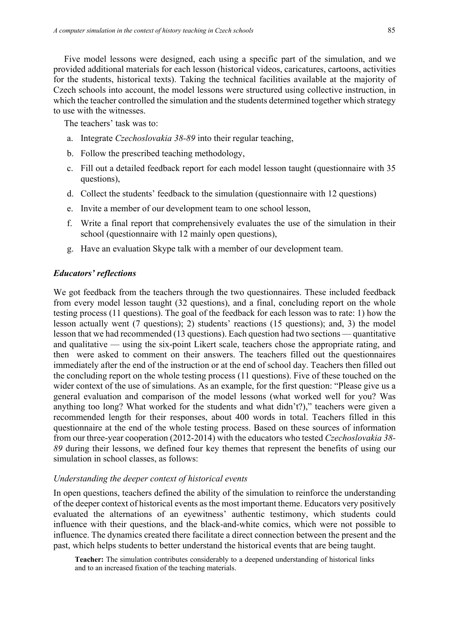Five model lessons were designed, each using a specific part of the simulation, and we provided additional materials for each lesson (historical videos, caricatures, cartoons, activities for the students, historical texts). Taking the technical facilities available at the majority of Czech schools into account, the model lessons were structured using collective instruction, in which the teacher controlled the simulation and the students determined together which strategy to use with the witnesses.

The teachers' task was to:

- a. Integrate *Czechoslovakia 38-89* into their regular teaching,
- b. Follow the prescribed teaching methodology,
- c. Fill out a detailed feedback report for each model lesson taught (questionnaire with 35 questions),
- d. Collect the students' feedback to the simulation (questionnaire with 12 questions)
- e. Invite a member of our development team to one school lesson,
- f. Write a final report that comprehensively evaluates the use of the simulation in their school (questionnaire with 12 mainly open questions),
- g. Have an evaluation Skype talk with a member of our development team.

#### *Educators' reflections*

We got feedback from the teachers through the two questionnaires. These included feedback from every model lesson taught (32 questions), and a final, concluding report on the whole testing process (11 questions). The goal of the feedback for each lesson was to rate: 1) how the lesson actually went (7 questions); 2) students' reactions (15 questions); and, 3) the model lesson that we had recommended (13 questions). Each question had two sections — quantitative and qualitative — using the six-point Likert scale, teachers chose the appropriate rating, and then were asked to comment on their answers. The teachers filled out the questionnaires immediately after the end of the instruction or at the end of school day. Teachers then filled out the concluding report on the whole testing process (11 questions). Five of these touched on the wider context of the use of simulations. As an example, for the first question: "Please give us a general evaluation and comparison of the model lessons (what worked well for you? Was anything too long? What worked for the students and what didn't?)," teachers were given a recommended length for their responses, about 400 words in total. Teachers filled in this questionnaire at the end of the whole testing process. Based on these sources of information from our three-year cooperation (2012-2014) with the educators who tested *Czechoslovakia 38- 89* during their lessons, we defined four key themes that represent the benefits of using our simulation in school classes, as follows:

## *Understanding the deeper context of historical events*

In open questions, teachers defined the ability of the simulation to reinforce the understanding of the deeper context of historical events as the most important theme. Educators very positively evaluated the alternations of an eyewitness' authentic testimony, which students could influence with their questions, and the black-and-white comics, which were not possible to influence. The dynamics created there facilitate a direct connection between the present and the past, which helps students to better understand the historical events that are being taught.

**Teacher:** The simulation contributes considerably to a deepened understanding of historical links and to an increased fixation of the teaching materials.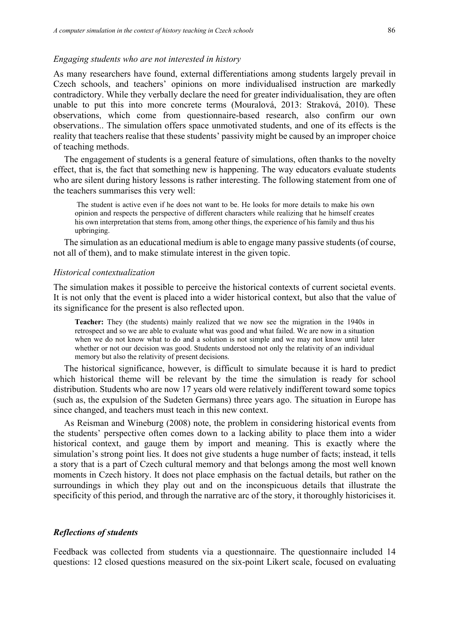#### *Engaging students who are not interested in history*

As many researchers have found, external differentiations among students largely prevail in Czech schools, and teachers' opinions on more individualised instruction are markedly contradictory. While they verbally declare the need for greater individualisation, they are often unable to put this into more concrete terms (Mouralová, 2013: Straková, 2010). These observations, which come from questionnaire-based research, also confirm our own observations.. The simulation offers space unmotivated students, and one of its effects is the reality that teachers realise that these students' passivity might be caused by an improper choice of teaching methods.

The engagement of students is a general feature of simulations, often thanks to the novelty effect, that is, the fact that something new is happening. The way educators evaluate students who are silent during history lessons is rather interesting. The following statement from one of the teachers summarises this very well:

The student is active even if he does not want to be. He looks for more details to make his own opinion and respects the perspective of different characters while realizing that he himself creates his own interpretation that stems from, among other things, the experience of his family and thus his upbringing.

The simulation as an educational medium is able to engage many passive students (of course, not all of them), and to make stimulate interest in the given topic.

#### *Historical contextualization*

The simulation makes it possible to perceive the historical contexts of current societal events. It is not only that the event is placed into a wider historical context, but also that the value of its significance for the present is also reflected upon.

**Teacher:** They (the students) mainly realized that we now see the migration in the 1940s in retrospect and so we are able to evaluate what was good and what failed. We are now in a situation when we do not know what to do and a solution is not simple and we may not know until later whether or not our decision was good. Students understood not only the relativity of an individual memory but also the relativity of present decisions.

The historical significance, however, is difficult to simulate because it is hard to predict which historical theme will be relevant by the time the simulation is ready for school distribution. Students who are now 17 years old were relatively indifferent toward some topics (such as, the expulsion of the Sudeten Germans) three years ago. The situation in Europe has since changed, and teachers must teach in this new context.

As Reisman and Wineburg (2008) note, the problem in considering historical events from the students' perspective often comes down to a lacking ability to place them into a wider historical context, and gauge them by import and meaning. This is exactly where the simulation's strong point lies. It does not give students a huge number of facts; instead, it tells a story that is a part of Czech cultural memory and that belongs among the most well known moments in Czech history. It does not place emphasis on the factual details, but rather on the surroundings in which they play out and on the inconspicuous details that illustrate the specificity of this period, and through the narrative arc of the story, it thoroughly historicises it.

#### *Reflections of students*

Feedback was collected from students via a questionnaire. The questionnaire included 14 questions: 12 closed questions measured on the six-point Likert scale, focused on evaluating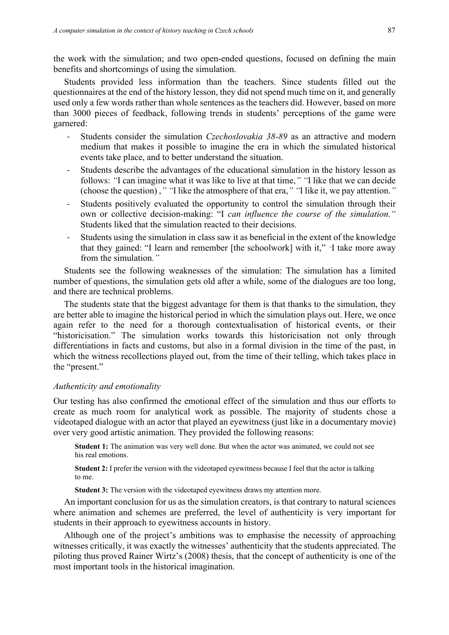the work with the simulation; and two open-ended questions, focused on defining the main benefits and shortcomings of using the simulation.

Students provided less information than the teachers. Since students filled out the questionnaires at the end of the history lesson, they did not spend much time on it, and generally used only a few words rather than whole sentences as the teachers did. However, based on more than 3000 pieces of feedback, following trends in students' perceptions of the game were garnered:

- Students consider the simulation *Czechoslovakia 38-89* as an attractive and modern medium that makes it possible to imagine the era in which the simulated historical events take place, and to better understand the situation.
- Students describe the advantages of the educational simulation in the history lesson as follows: *"*I can imagine what it was like to live at that time,*" "*I like that we can decide (choose the question) ,*" "*I like the atmosphere of that era,*" "*I like it, we pay attention.*"*
- Students positively evaluated the opportunity to control the simulation through their own or collective decision-making: "I *can influence the course of the simulation."* Students liked that the simulation reacted to their decisions.
- Students using the simulation in class saw it as beneficial in the extent of the knowledge that they gained: "I learn and remember [the schoolwork] with it," *"*I take more away from the simulation*."*

Students see the following weaknesses of the simulation: The simulation has a limited number of questions, the simulation gets old after a while, some of the dialogues are too long, and there are technical problems.

The students state that the biggest advantage for them is that thanks to the simulation, they are better able to imagine the historical period in which the simulation plays out. Here, we once again refer to the need for a thorough contextualisation of historical events, or their "historicisation." The simulation works towards this historicisation not only through differentiations in facts and customs, but also in a formal division in the time of the past, in which the witness recollections played out, from the time of their telling, which takes place in the "present."

#### *Authenticity and emotionality*

Our testing has also confirmed the emotional effect of the simulation and thus our efforts to create as much room for analytical work as possible. The majority of students chose a videotaped dialogue with an actor that played an eyewitness (just like in a documentary movie) over very good artistic animation. They provided the following reasons:

**Student 1:** The animation was very well done. But when the actor was animated, we could not see his real emotions.

**Student 2:** I prefer the version with the videotaped eyewitness because I feel that the actor is talking to me.

**Student 3:** The version with the videotaped eyewitness draws my attention more.

An important conclusion for us as the simulation creators, is that contrary to natural sciences where animation and schemes are preferred, the level of authenticity is very important for students in their approach to eyewitness accounts in history.

Although one of the project's ambitions was to emphasise the necessity of approaching witnesses critically, it was exactly the witnesses' authenticity that the students appreciated. The piloting thus proved Rainer Wirtz's (2008) thesis, that the concept of authenticity is one of the most important tools in the historical imagination.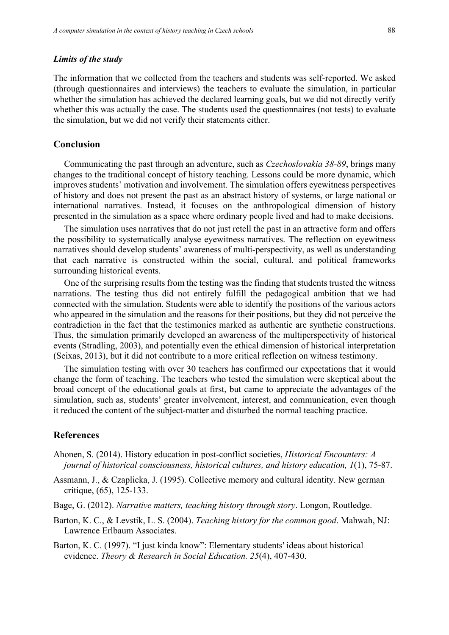#### *Limits of the study*

The information that we collected from the teachers and students was self-reported. We asked (through questionnaires and interviews) the teachers to evaluate the simulation, in particular whether the simulation has achieved the declared learning goals, but we did not directly verify whether this was actually the case. The students used the questionnaires (not tests) to evaluate the simulation, but we did not verify their statements either.

# **Conclusion**

Communicating the past through an adventure, such as *Czechoslovakia 38-89*, brings many changes to the traditional concept of history teaching. Lessons could be more dynamic, which improves students' motivation and involvement. The simulation offers eyewitness perspectives of history and does not present the past as an abstract history of systems, or large national or international narratives. Instead, it focuses on the anthropological dimension of history presented in the simulation as a space where ordinary people lived and had to make decisions.

The simulation uses narratives that do not just retell the past in an attractive form and offers the possibility to systematically analyse eyewitness narratives. The reflection on eyewitness narratives should develop students' awareness of multi-perspectivity, as well as understanding that each narrative is constructed within the social, cultural, and political frameworks surrounding historical events.

One of the surprising results from the testing was the finding that students trusted the witness narrations. The testing thus did not entirely fulfill the pedagogical ambition that we had connected with the simulation. Students were able to identify the positions of the various actors who appeared in the simulation and the reasons for their positions, but they did not perceive the contradiction in the fact that the testimonies marked as authentic are synthetic constructions. Thus, the simulation primarily developed an awareness of the multiperspectivity of historical events (Stradling, 2003), and potentially even the ethical dimension of historical interpretation (Seixas, 2013), but it did not contribute to a more critical reflection on witness testimony.

The simulation testing with over 30 teachers has confirmed our expectations that it would change the form of teaching. The teachers who tested the simulation were skeptical about the broad concept of the educational goals at first, but came to appreciate the advantages of the simulation, such as, students' greater involvement, interest, and communication, even though it reduced the content of the subject-matter and disturbed the normal teaching practice.

# **References**

- Ahonen, S. (2014). History education in post-conflict societies, *Historical Encounters: A journal of historical consciousness, historical cultures, and history education, 1*(1), 75-87.
- Assmann, J., & Czaplicka, J. (1995). Collective memory and cultural identity. New german critique, (65), 125-133.
- Bage, G. (2012). *Narrative matters, teaching history through story*. Longon, Routledge.
- Barton, K. C., & Levstik, L. S. (2004). *Teaching history for the common good*. Mahwah, NJ: Lawrence Erlbaum Associates.
- Barton, K. C. (1997). "I just kinda know": Elementary students' ideas about historical evidence. *Theory & Research in Social Education. 25*(4), 407-430.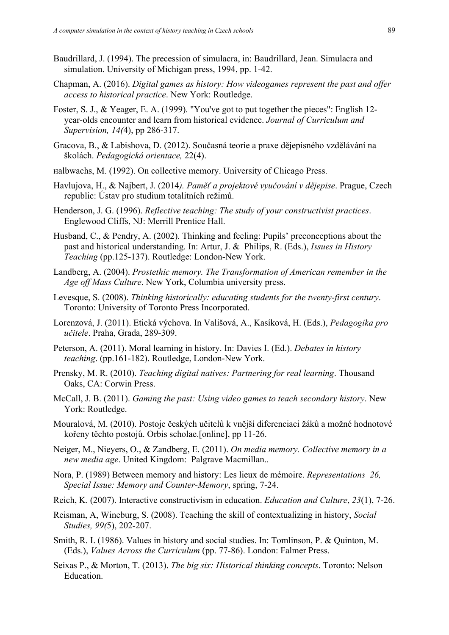- Baudrillard, J. (1994). The precession of simulacra, in: Baudrillard, Jean. Simulacra and simulation. University of Michigan press, 1994, pp. 1-42.
- Chapman, A. (2016). *Digital games as history: How videogames represent the past and offer access to historical practice*. New York: Routledge.
- Foster, S. J., & Yeager, E. A. (1999). "You've got to put together the pieces": English 12 year-olds encounter and learn from historical evidence. *Journal of Curriculum and Supervision, 14(*4), pp 286-317.
- Gracova, B., & Labishova, D. (2012). Současná teorie a praxe dějepisného vzdělávání na školách. *Pedagogická orientace,* 22(4).
- Halbwachs, M. (1992). On collective memory. University of Chicago Press.
- Havlujova, H., & Najbert, J. (2014*). Paměť a projektové vyučování v dějepise*. Prague, Czech republic: Ústav pro studium totalitních režimů.
- Henderson, J. G. (1996). *Reflective teaching: The study of your constructivist practices*. Englewood Cliffs, NJ: Merrill Prentice Hall.
- Husband, C., & Pendry, A. (2002). Thinking and feeling: Pupils' preconceptions about the past and historical understanding. In: Artur, J. & Philips, R. (Eds.), *Issues in History Teaching* (pp.125-137). Routledge: London-New York.
- Landberg, A. (2004). *Prostethic memory. The Transformation of American remember in the Age off Mass Culture*. New York, Columbia university press.
- Levesque, S. (2008). *Thinking historically: educating students for the twenty-first century*. Toronto: University of Toronto Press Incorporated.
- Lorenzová, J. (2011). Etická výchova. In Vališová, A., Kasíková, H. (Eds.), *Pedagogika pro učitele*. Praha, Grada, 289-309.
- Peterson, A. (2011). Moral learning in history. In: Davies I. (Ed.). *Debates in history teaching*. (pp.161-182). Routledge, London-New York.
- Prensky, M. R. (2010). *Teaching digital natives: Partnering for real learning*. Thousand Oaks, CA: Corwin Press.
- McCall, J. B. (2011). *Gaming the past: Using video games to teach secondary history*. New York: Routledge.
- Mouralová, M. (2010). Postoje českých učitelů k vnější diferenciaci žáků a možné hodnotové kořeny těchto postojů. Orbis scholae.[online], pp 11-26.
- Neiger, M., Nieyers, O., & Zandberg, E. (2011). *On media memory. Collective memory in a new media age*. United Kingdom: Palgrave Macmillan..
- Nora, P. (1989) Between memory and history: Les lieux de mémoire. *Representations 26, Special Issue: Memory and Counter-Memory*, spring, 7-24.
- Reich, K. (2007). Interactive constructivism in education. *Education and Culture*, *23*(1), 7-26.
- Reisman, A, Wineburg, S. (2008). Teaching the skill of contextualizing in history, *Social Studies, 99(*5), 202-207.
- Smith, R. I. (1986). Values in history and social studies. In: Tomlinson, P. & Quinton, M. (Eds.), *Values Across the Curriculum* (pp. 77-86). London: Falmer Press.
- Seixas P., & Morton, T. (2013). *The big six: Historical thinking concepts*. Toronto: Nelson Education.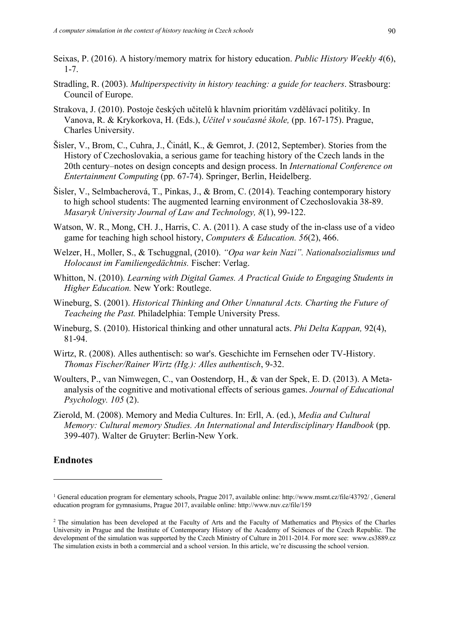- Seixas, P. (2016). A history/memory matrix for history education. *Public History Weekly 4*(6), 1-7.
- Stradling, R. (2003). *Multiperspectivity in history teaching: a guide for teachers*. Strasbourg: Council of Europe.
- Strakova, J. (2010). Postoje českých učitelů k hlavním prioritám vzdělávací politiky. In Vanova, R. & Krykorkova, H. (Eds.), *Učitel v současné škole,* (pp. 167-175). Prague, Charles University.
- Šisler, V., Brom, C., Cuhra, J., Činátl, K., & Gemrot, J. (2012, September). Stories from the History of Czechoslovakia, a serious game for teaching history of the Czech lands in the 20th century–notes on design concepts and design process. In *International Conference on Entertainment Computing* (pp. 67-74). Springer, Berlin, Heidelberg.
- Šisler, V., Selmbacherová, T., Pinkas, J., & Brom, C. (2014). Teaching contemporary history to high school students: The augmented learning environment of Czechoslovakia 38-89. *Masaryk University Journal of Law and Technology, 8*(1), 99-122.
- Watson, W. R., Mong, CH. J., Harris, C. A. (2011). A case study of the in-class use of a video game for teaching high school history, *Computers & Education. 56*(2), 466.
- Welzer, H., Moller, S., & Tschuggnal, (2010). *"Opa war kein Nazi". Nationalsozialismus und Holocaust im Familiengedächtnis.* Fischer: Verlag.
- Whitton, N. (2010)*. Learning with Digital Games. A Practical Guide to Engaging Students in Higher Education.* New York: Routlege.
- Wineburg, S. (2001). *Historical Thinking and Other Unnatural Acts. Charting the Future of Teacheing the Past.* Philadelphia: Temple University Press.
- Wineburg, S. (2010). Historical thinking and other unnatural acts. *Phi Delta Kappan,* 92(4), 81-94.
- Wirtz, R. (2008). Alles authentisch: so war's. Geschichte im Fernsehen oder TV-History. *Thomas Fischer/Rainer Wirtz (Hg.): Alles authentisch*, 9-32.
- Woulters, P., van Nimwegen, C., van Oostendorp, H., & van der Spek, E. D. (2013). A Metaanalysis of the cognitive and motivational effects of serious games. *Journal of Educational Psychology. 105* (2).
- Zierold, M. (2008). Memory and Media Cultures. In: Erll, A. (ed.), *Media and Cultural Memory: Cultural memory Studies. An International and Interdisciplinary Handbook* (pp. 399-407). Walter de Gruyter: Berlin-New York.

# **Endnotes**

<sup>1</sup> General education program for elementary schools, Prague 2017, available online: http://www.msmt.cz/file/43792/ , General education program for gymnasiums, Prague 2017, available online: http://www.nuv.cz/file/159

<sup>&</sup>lt;sup>2</sup> The simulation has been developed at the Faculty of Arts and the Faculty of Mathematics and Physics of the Charles University in Prague and the Institute of Contemporary History of the Academy of Sciences of the Czech Republic. The development of the simulation was supported by the Czech Ministry of Culture in 2011-2014. For more see: www.cs3889.cz The simulation exists in both a commercial and a school version. In this article, we're discussing the school version.